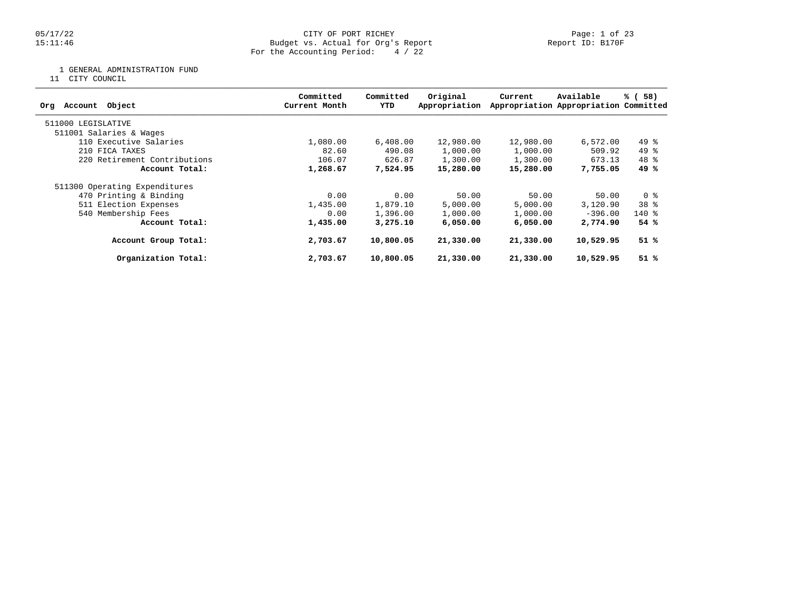### 05/17/22 CITY OF PORT RICHEY Page: 1 of 23 15:11:46 Budget vs. Actual for Org's Report Report ID: B170F For the Accounting Period: 4 / 22

1 GENERAL ADMINISTRATION FUND

11 CITY COUNCIL

| Object<br>Account<br>Org      | Committed<br>Current Month | Committed<br>YTD | Original<br>Appropriation | Current   | Available<br>Appropriation Appropriation Committed | % (58)          |
|-------------------------------|----------------------------|------------------|---------------------------|-----------|----------------------------------------------------|-----------------|
| 511000 LEGISLATIVE            |                            |                  |                           |           |                                                    |                 |
| 511001 Salaries & Wages       |                            |                  |                           |           |                                                    |                 |
| 110 Executive Salaries        | 1,080.00                   | 6,408.00         | 12,980.00                 | 12,980.00 | 6,572.00                                           | $49*$           |
| 210 FICA TAXES                | 82.60                      | 490.08           | 1,000.00                  | 1,000.00  | 509.92                                             | $49*$           |
| 220 Retirement Contributions  | 106.07                     | 626.87           | 1,300.00                  | 1,300.00  | 673.13                                             | $48*$           |
| Account Total:                | 1,268.67                   | 7,524.95         | 15,280.00                 | 15,280.00 | 7,755.05                                           | 49 %            |
| 511300 Operating Expenditures |                            |                  |                           |           |                                                    |                 |
| 470 Printing & Binding        | 0.00                       | 0.00             | 50.00                     | 50.00     | 50.00                                              | 0 %             |
| 511 Election Expenses         | 1,435.00                   | 1,879.10         | 5,000.00                  | 5,000.00  | 3,120.90                                           | 38 <sup>8</sup> |
| 540 Membership Fees           | 0.00                       | 1,396.00         | 1,000.00                  | 1,000.00  | $-396.00$                                          | $140*$          |
| Account Total:                | 1,435.00                   | 3,275.10         | 6,050,00                  | 6,050,00  | 2,774.90                                           | 54%             |
| Account Group Total:          | 2,703.67                   | 10,800.05        | 21,330.00                 | 21,330.00 | 10,529.95                                          | $51$ %          |
| Organization Total:           | 2,703.67                   | 10,800.05        | 21,330.00                 | 21,330.00 | 10,529.95                                          | 51%             |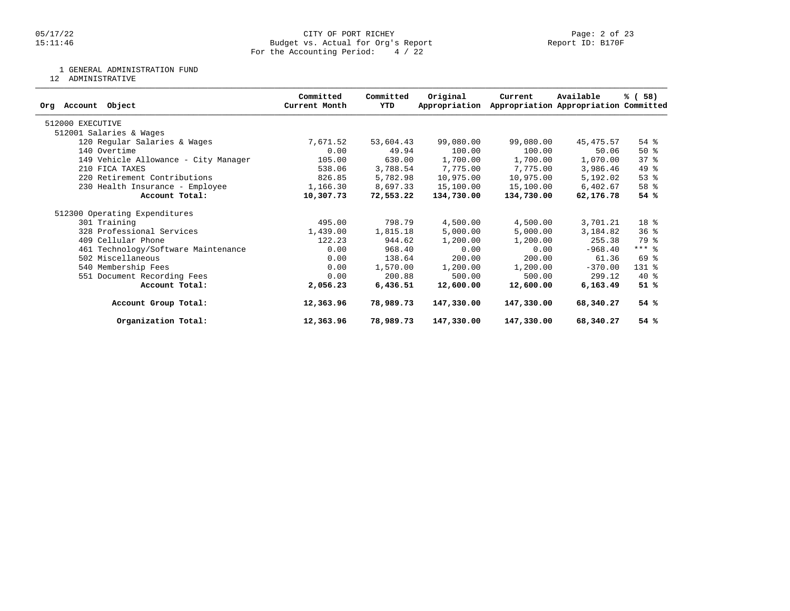### 05/17/22 CITY OF PORT RICHEY Page: 2 of 23 15:11:46 Budget vs. Actual for Org's Report Report ID: B170F For the Accounting Period: 4 / 22

1 GENERAL ADMINISTRATION FUND

12 ADMINISTRATIVE

| Object<br>Account<br>Org             | Committed<br>Current Month | Committed<br>YTD | Original<br>Appropriation | Current    | Available<br>Appropriation Appropriation Committed | % (58)    |
|--------------------------------------|----------------------------|------------------|---------------------------|------------|----------------------------------------------------|-----------|
| 512000 EXECUTIVE                     |                            |                  |                           |            |                                                    |           |
| 512001 Salaries & Wages              |                            |                  |                           |            |                                                    |           |
| 120 Regular Salaries & Wages         | 7,671.52                   | 53,604.43        | 99,080.00                 | 99,080.00  | 45,475.57                                          | 54 %      |
| 140 Overtime                         | 0.00                       | 49.94            | 100.00                    | 100.00     | 50.06                                              | $50*$     |
| 149 Vehicle Allowance - City Manager | 105.00                     | 630.00           | 1,700.00                  | 1,700.00   | 1,070.00                                           | 37%       |
| 210 FICA TAXES                       | 538.06                     | 3,788.54         | 7,775.00                  | 7,775.00   | 3,986.46                                           | 49 %      |
| 220 Retirement Contributions         | 826.85                     | 5,782.98         | 10,975.00                 | 10,975.00  | 5,192.02                                           | 53%       |
| 230 Health Insurance - Employee      | 1,166.30                   | 8,697.33         | 15,100.00                 | 15,100.00  | 6,402.67                                           | 58 %      |
| Account Total:                       | 10,307.73                  | 72,553.22        | 134,730.00                | 134,730.00 | 62,176.78                                          | 54%       |
| 512300 Operating Expenditures        |                            |                  |                           |            |                                                    |           |
| 301 Training                         | 495.00                     | 798.79           | 4,500.00                  | 4,500.00   | 3,701.21                                           | 18 %      |
| 328 Professional Services            | 1,439.00                   | 1,815.18         | 5,000.00                  | 5,000.00   | 3,184.82                                           | 36%       |
| 409 Cellular Phone                   | 122.23                     | 944.62           | 1,200.00                  | 1,200.00   | 255.38                                             | 79 %      |
| 461 Technology/Software Maintenance  | 0.00                       | 968.40           | 0.00                      | 0.00       | $-968.40$                                          | $***$ $%$ |
| 502 Miscellaneous                    | 0.00                       | 138.64           | 200.00                    | 200.00     | 61.36                                              | 69 %      |
| 540 Membership Fees                  | 0.00                       | 1,570.00         | 1,200.00                  | 1,200.00   | $-370.00$                                          | 131 %     |
| 551 Document Recording Fees          | 0.00                       | 200.88           | 500.00                    | 500.00     | 299.12                                             | $40*$     |
| Account Total:                       | 2,056.23                   | 6,436.51         | 12,600.00                 | 12,600.00  | 6,163.49                                           | 51%       |
| Account Group Total:                 | 12,363.96                  | 78,989.73        | 147,330.00                | 147,330.00 | 68,340.27                                          | 54%       |
| Organization Total:                  | 12,363.96                  | 78,989.73        | 147,330.00                | 147,330.00 | 68,340.27                                          | 54%       |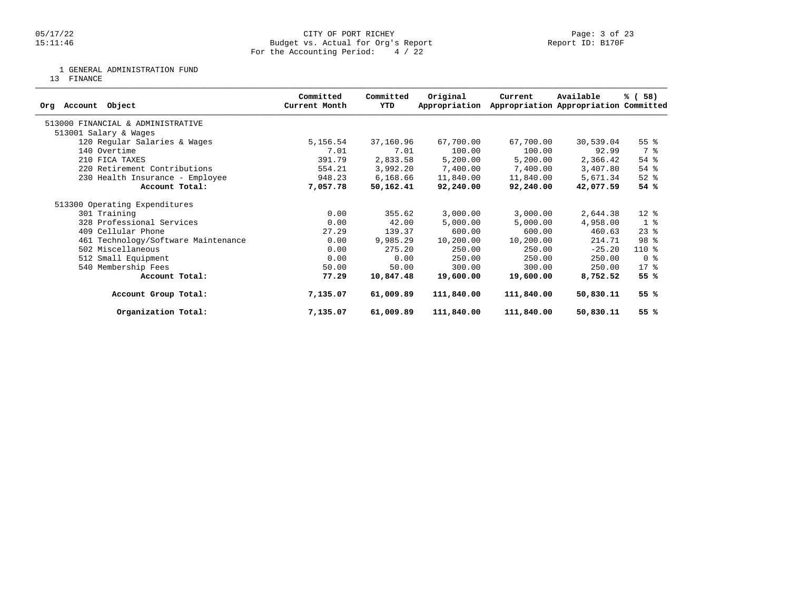### 05/17/22 CITY OF PORT RICHEY Page: 3 of 23 15:11:46 Budget vs. Actual for Org's Report Report ID: B170F For the Accounting Period: 4 / 22

1 GENERAL ADMINISTRATION FUND

13 FINANCE

| Object<br>Account<br>Ora            | Committed<br>Current Month | Committed<br>YTD | Original<br>Appropriation | Current    | Available<br>Appropriation Appropriation Committed | % (58)             |
|-------------------------------------|----------------------------|------------------|---------------------------|------------|----------------------------------------------------|--------------------|
| 513000 FINANCIAL & ADMINISTRATIVE   |                            |                  |                           |            |                                                    |                    |
| 513001 Salary & Wages               |                            |                  |                           |            |                                                    |                    |
| 120 Regular Salaries & Wages        | 5,156.54                   | 37,160.96        | 67,700.00                 | 67,700.00  | 30,539.04                                          | 55 <sup>8</sup>    |
| 140 Overtime                        | 7.01                       | 7.01             | 100.00                    | 100.00     | 92.99                                              | 7 %                |
| 210 FICA TAXES                      | 391.79                     | 2,833.58         | 5,200.00                  | 5,200.00   | 2,366.42                                           | 54 %               |
| 220 Retirement Contributions        | 554.21                     | 3,992.20         | 7,400.00                  | 7,400.00   | 3,407.80                                           | 54 %               |
| 230 Health Insurance - Employee     | 948.23                     | 6,168.66         | 11,840.00                 | 11,840.00  | 5,671.34                                           | $52$ $%$           |
| Account Total:                      | 7,057.78                   | 50,162.41        | 92,240.00                 | 92,240.00  | 42,077.59                                          | 54%                |
| 513300 Operating Expenditures       |                            |                  |                           |            |                                                    |                    |
| 301 Training                        | 0.00                       | 355.62           | 3,000.00                  | 3,000.00   | 2,644.38                                           | $12*$              |
| 328 Professional Services           | 0.00                       | 42.00            | 5,000.00                  | 5,000.00   | 4,958.00                                           | 1 <sup>8</sup>     |
| 409 Cellular Phone                  | 27.29                      | 139.37           | 600.00                    | 600.00     | 460.63                                             | $23$ $\frac{6}{3}$ |
| 461 Technology/Software Maintenance | 0.00                       | 9,985.29         | 10,200.00                 | 10,200.00  | 214.71                                             | 98 %               |
| 502 Miscellaneous                   | 0.00                       | 275.20           | 250.00                    | 250.00     | $-25.20$                                           | $110*$             |
| 512 Small Equipment                 | 0.00                       | 0.00             | 250.00                    | 250.00     | 250.00                                             | 0 <sup>8</sup>     |
| 540 Membership Fees                 | 50.00                      | 50.00            | 300.00                    | 300.00     | 250.00                                             | $17*$              |
| Account Total:                      | 77.29                      | 10,847.48        | 19,600.00                 | 19,600.00  | 8,752.52                                           | 55 %               |
| Account Group Total:                | 7,135.07                   | 61,009.89        | 111,840.00                | 111,840.00 | 50,830.11                                          | 55 %               |
| Organization Total:                 | 7,135.07                   | 61,009.89        | 111,840.00                | 111,840.00 | 50,830.11                                          | 55 %               |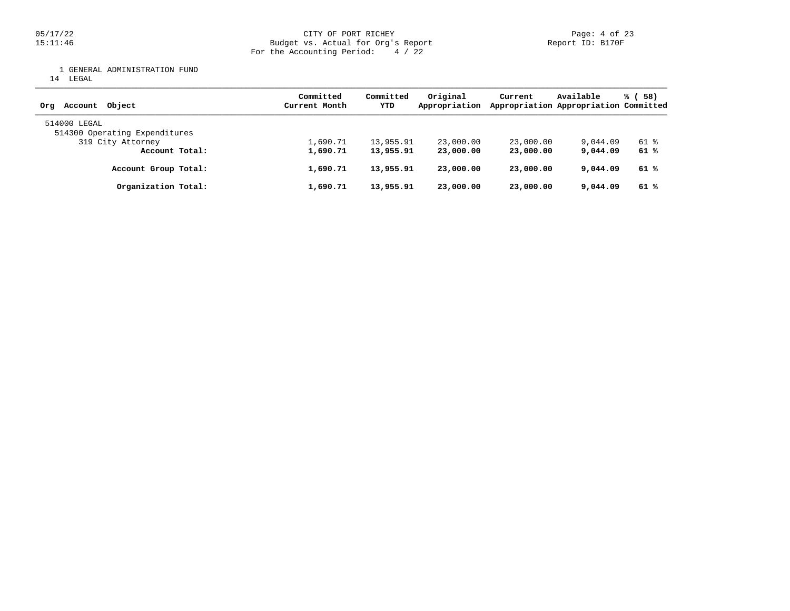05/17/22 CITY OF PORT RICHEY Page: 4 of 23 15:11:46 Budget vs. Actual for Org's Report Report ID: B170F For the Accounting Period: 4 / 22

1 GENERAL ADMINISTRATION FUND

14 LEGAL

| Obiect<br>Account<br>Orq                      | Committed<br>Current Month | Committed<br>YTD | Original<br>Appropriation | Current   | Available<br>Appropriation Appropriation Committed | % (58) |
|-----------------------------------------------|----------------------------|------------------|---------------------------|-----------|----------------------------------------------------|--------|
| 514000 LEGAL<br>514300 Operating Expenditures |                            |                  |                           |           |                                                    |        |
| 319 City Attorney                             | 1,690.71                   | 13,955.91        | 23,000.00                 | 23,000.00 | 9,044.09                                           | 61 %   |
| Account Total:                                | 1,690.71                   | 13,955.91        | 23,000.00                 | 23,000,00 | 9,044.09                                           | 61 %   |
| Account Group Total:                          | 1,690.71                   | 13,955.91        | 23,000.00                 | 23,000.00 | 9,044.09                                           | 61 %   |
| Organization Total:                           | 1,690.71                   | 13,955.91        | 23,000.00                 | 23,000,00 | 9,044.09                                           | 61 %   |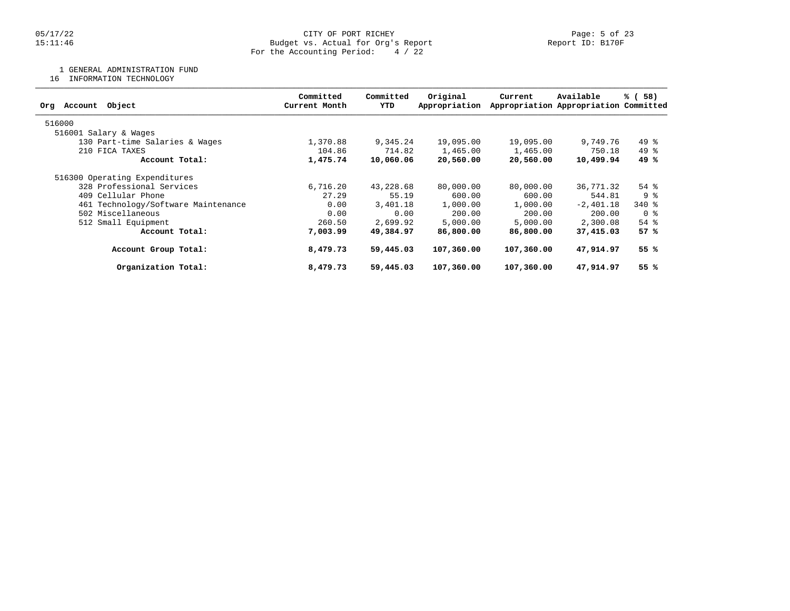### 05/17/22 CITY OF PORT RICHEY Page: 5 of 23 15:11:46 Budget vs. Actual for Org's Report Report ID: B170F For the Accounting Period: 4 / 22

1 GENERAL ADMINISTRATION FUND

16 INFORMATION TECHNOLOGY

| Object<br>Account<br>Org            | Committed<br>Current Month | Committed<br>YTD | Original<br>Appropriation | Current    | Available<br>Appropriation Appropriation Committed | 58)<br>% (         |
|-------------------------------------|----------------------------|------------------|---------------------------|------------|----------------------------------------------------|--------------------|
| 516000                              |                            |                  |                           |            |                                                    |                    |
| 516001 Salary & Wages               |                            |                  |                           |            |                                                    |                    |
| 130 Part-time Salaries & Wages      | 1,370.88                   | 9,345.24         | 19,095.00                 | 19,095.00  | 9,749.76                                           | $49*$              |
| 210 FICA TAXES                      | 104.86                     | 714.82           | 1,465.00                  | 1,465.00   | 750.18                                             | $49*$              |
| Account Total:                      | 1,475.74                   | 10,060.06        | 20,560.00                 | 20,560.00  | 10,499.94                                          | 49 %               |
| 516300 Operating Expenditures       |                            |                  |                           |            |                                                    |                    |
| 328 Professional Services           | 6,716.20                   | 43,228.68        | 80,000.00                 | 80,000.00  | 36,771.32                                          | $54$ $\frac{6}{3}$ |
| 409 Cellular Phone                  | 27.29                      | 55.19            | 600.00                    | 600.00     | 544.81                                             | 9 <sub>8</sub>     |
| 461 Technology/Software Maintenance | 0.00                       | 3,401.18         | 1,000.00                  | 1,000.00   | $-2,401.18$                                        | 340 %              |
| 502 Miscellaneous                   | 0.00                       | 0.00             | 200.00                    | 200.00     | 200.00                                             | 0 %                |
| 512 Small Equipment                 | 260.50                     | 2,699.92         | 5,000.00                  | 5,000.00   | 2,300.08                                           | $54$ $%$           |
| Account Total:                      | 7,003.99                   | 49,384.97        | 86,800.00                 | 86,800.00  | 37,415.03                                          | 57%                |
| Account Group Total:                | 8,479.73                   | 59,445.03        | 107,360.00                | 107,360.00 | 47,914.97                                          | 55%                |
| Organization Total:                 | 8,479.73                   | 59,445.03        | 107,360.00                | 107,360.00 | 47,914.97                                          | 55 %               |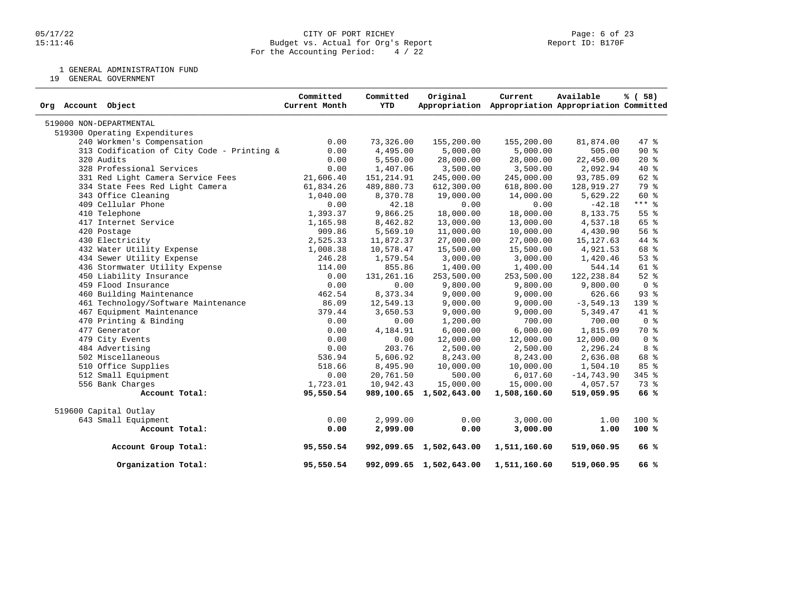1 GENERAL ADMINISTRATION FUND

19 GENERAL GOVERNMENT

| Org Account Object                         | Committed<br>Current Month | Committed<br>YTD | Original                | Current<br>Appropriation Appropriation Appropriation Committed | Available     | % ( 58)         |
|--------------------------------------------|----------------------------|------------------|-------------------------|----------------------------------------------------------------|---------------|-----------------|
| 519000 NON-DEPARTMENTAL                    |                            |                  |                         |                                                                |               |                 |
| 519300 Operating Expenditures              |                            |                  |                         |                                                                |               |                 |
| 240 Workmen's Compensation                 | 0.00                       | 73,326.00        | 155,200.00              | 155,200.00                                                     | 81,874.00     | 47.8            |
| 313 Codification of City Code - Printing & | 0.00                       | 4,495.00         | 5,000.00                | 5,000.00                                                       | 505.00        | 90%             |
| 320 Audits                                 | 0.00                       | 5,550.00         | 28,000.00               | 28,000.00                                                      | 22,450.00     | $20*$           |
| 328 Professional Services                  | 0.00                       | 1,407.06         | 3,500.00                | 3,500.00                                                       | 2,092.94      | 40 %            |
| 331 Red Light Camera Service Fees          | 21,606.40                  | 151, 214.91      | 245,000.00              | 245,000.00                                                     | 93,785.09     | 62 %            |
| 334 State Fees Red Light Camera            | 61,834.26                  | 489,880.73       | 612,300.00              | 618,800.00                                                     | 128,919.27    | 79 %            |
| 343 Office Cleaning                        | 1,040.00                   | 8,370.78         | 19,000.00               | 14,000.00                                                      | 5,629.22      | $60*$           |
| 409 Cellular Phone                         | 0.00                       | 42.18            | 0.00                    | 0.00                                                           | $-42.18$      | $***$ 8         |
| 410 Telephone                              | 1,393.37                   | 9,866.25         | 18,000.00               | 18,000.00                                                      | 8,133.75      | 55 <sup>8</sup> |
| 417 Internet Service                       | 1,165.98                   | 8,462.82         | 13,000.00               | 13,000.00                                                      | 4,537.18      | 65 %            |
| 420 Postage                                | 909.86                     | 5,569.10         | 11,000.00               | 10,000.00                                                      | 4,430.90      | 56%             |
| 430 Electricity                            | 2,525.33                   | 11,872.37        | 27,000.00               | 27,000.00                                                      | 15,127.63     | 44 %            |
| 432 Water Utility Expense                  | 1,008.38                   | 10,578.47        | 15,500.00               | 15,500.00                                                      | 4,921.53      | 68 %            |
| 434 Sewer Utility Expense                  | 246.28                     | 1,579.54         | 3,000.00                | 3,000.00                                                       | 1,420.46      | 53%             |
| 436 Stormwater Utility Expense             | 114.00                     | 855.86           | 1,400.00                | 1,400.00                                                       | 544.14        | 61 %            |
| 450 Liability Insurance                    | 0.00                       | 131, 261.16      | 253,500.00              | 253,500.00                                                     | 122, 238.84   | $52$ $%$        |
| 459 Flood Insurance                        | 0.00                       | 0.00             | 9,800.00                | 9,800.00                                                       | 9,800.00      | 0 <sup>8</sup>  |
| 460 Building Maintenance                   | 462.54                     | 8,373.34         | 9,000.00                | 9,000.00                                                       | 626.66        | 93%             |
| 461 Technology/Software Maintenance        | 86.09                      | 12,549.13        | 9,000.00                | 9,000.00                                                       | $-3,549.13$   | 139 %           |
| 467 Equipment Maintenance                  | 379.44                     | 3,650.53         | 9,000.00                | 9,000.00                                                       | 5,349.47      | 41 %            |
| 470 Printing & Binding                     | 0.00                       | 0.00             | 1,200.00                | 700.00                                                         | 700.00        | 0 <sup>8</sup>  |
| 477 Generator                              | 0.00                       | 4,184.91         | 6,000.00                | 6,000.00                                                       | 1,815.09      | 70 %            |
| 479 City Events                            | 0.00                       | 0.00             | 12,000.00               | 12,000.00                                                      | 12,000.00     | 0 <sup>8</sup>  |
| 484 Advertising                            | 0.00                       | 203.76           | 2,500.00                | 2,500.00                                                       | 2,296.24      | 8 <sup>8</sup>  |
| 502 Miscellaneous                          | 536.94                     | 5,606.92         | 8,243.00                | 8,243.00                                                       | 2,636.08      | 68 %            |
| 510 Office Supplies                        | 518.66                     | 8,495.90         | 10,000.00               | 10,000.00                                                      | 1,504.10      | 85 %            |
| 512 Small Equipment                        | 0.00                       | 20,761.50        | 500.00                  | 6,017.60                                                       | $-14, 743.90$ | 345 %           |
| 556 Bank Charges                           | 1,723.01                   | 10,942.43        | 15,000.00               | 15,000.00                                                      | 4,057.57      | 73 %            |
| Account Total:                             | 95,550.54                  |                  | 989,100.65 1,502,643.00 | 1,508,160.60                                                   | 519,059.95    | 66 %            |
| 519600 Capital Outlay                      |                            |                  |                         |                                                                |               |                 |
| 643 Small Equipment                        | 0.00                       | 2,999.00         | 0.00                    | 3,000.00                                                       | 1.00          | $100*$          |
| Account Total:                             | 0.00                       | 2,999.00         | 0.00                    | 3,000.00                                                       | 1.00          | 100%            |
| Account Group Total:                       | 95,550.54                  |                  | 992,099.65 1,502,643.00 | 1,511,160.60                                                   | 519,060.95    | 66%             |
| Organization Total:                        | 95,550.54                  |                  | 992,099.65 1,502,643.00 | 1,511,160.60                                                   | 519,060.95    | 66 %            |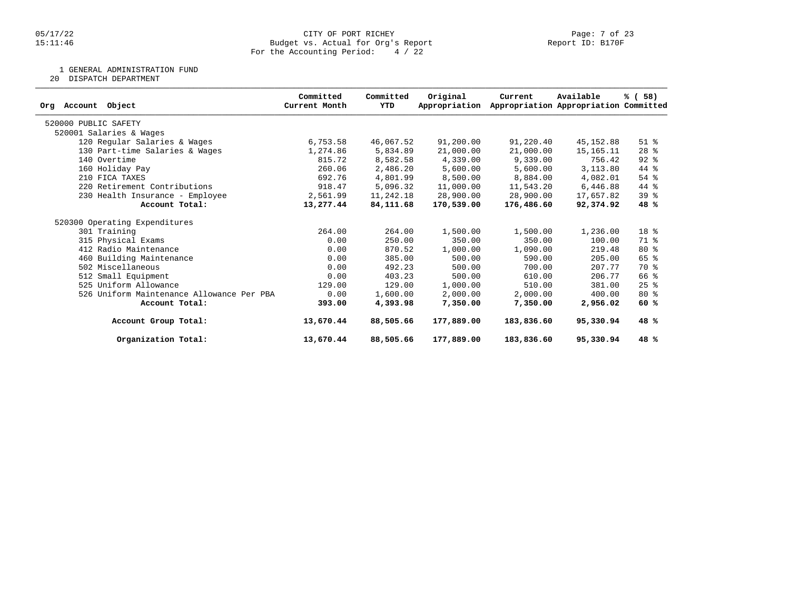### 05/17/22 CITY OF PORT RICHEY Page: 7 of 23 15:11:46 Budget vs. Actual for Org's Report Report ID: B170F For the Accounting Period: 4 / 22

1 GENERAL ADMINISTRATION FUND

20 DISPATCH DEPARTMENT

| Object<br>Account<br>Org                  | Committed<br>Current Month | Committed<br>YTD | Original<br>Appropriation | Current    | Available<br>Appropriation Appropriation Committed | % (58)          |
|-------------------------------------------|----------------------------|------------------|---------------------------|------------|----------------------------------------------------|-----------------|
|                                           |                            |                  |                           |            |                                                    |                 |
| 520000 PUBLIC SAFETY                      |                            |                  |                           |            |                                                    |                 |
| 520001 Salaries & Wages                   |                            |                  |                           |            |                                                    |                 |
| 120 Regular Salaries & Wages              | 6,753.58                   | 46,067.52        | 91,200.00                 | 91,220.40  | 45,152.88                                          | $51$ %          |
| 130 Part-time Salaries & Wages            | 1,274.86                   | 5,834.89         | 21,000.00                 | 21,000.00  | 15,165.11                                          | $28$ %          |
| 140 Overtime                              | 815.72                     | 8,582.58         | 4,339.00                  | 9,339.00   | 756.42                                             | $92$ $%$        |
| 160 Holiday Pay                           | 260.06                     | 2,486.20         | 5,600.00                  | 5,600.00   | 3,113.80                                           | 44 %            |
| 210 FICA TAXES                            | 692.76                     | 4,801.99         | 8,500.00                  | 8,884.00   | 4,082.01                                           | $54$ $%$        |
| 220 Retirement Contributions              | 918.47                     | 5,096.32         | 11,000.00                 | 11,543.20  | 6,446.88                                           | 44 %            |
| 230 Health Insurance - Employee           | 2,561.99                   | 11,242.18        | 28,900.00                 | 28,900.00  | 17,657.82                                          | 39 <sup>8</sup> |
| Account Total:                            | 13,277.44                  | 84,111.68        | 170,539.00                | 176,486.60 | 92,374.92                                          | 48 %            |
| 520300 Operating Expenditures             |                            |                  |                           |            |                                                    |                 |
| 301 Training                              | 264.00                     | 264.00           | 1,500.00                  | 1,500.00   | 1,236.00                                           | 18 %            |
| 315 Physical Exams                        | 0.00                       | 250.00           | 350.00                    | 350.00     | 100.00                                             | 71 %            |
| 412 Radio Maintenance                     | 0.00                       | 870.52           | 1,000.00                  | 1,090.00   | 219.48                                             | $80*$           |
| 460 Building Maintenance                  | 0.00                       | 385.00           | 500.00                    | 590.00     | 205.00                                             | $65$ $%$        |
| 502 Miscellaneous                         | 0.00                       | 492.23           | 500.00                    | 700.00     | 207.77                                             | 70 %            |
| 512 Small Equipment                       | 0.00                       | 403.23           | 500.00                    | 610.00     | 206.77                                             | 66 %            |
| 525 Uniform Allowance                     | 129.00                     | 129.00           | 1,000.00                  | 510.00     | 381.00                                             | $25$ $%$        |
| 526 Uniform Maintenance Allowance Per PBA | 0.00                       | 1,600.00         | 2,000.00                  | 2,000.00   | 400.00                                             | $80*$           |
| Account Total:                            | 393.00                     | 4,393.98         | 7,350.00                  | 7,350.00   | 2,956.02                                           | 60 %            |
| Account Group Total:                      | 13,670.44                  | 88,505.66        | 177,889.00                | 183,836.60 | 95,330.94                                          | 48%             |
| Organization Total:                       | 13,670.44                  | 88,505.66        | 177,889.00                | 183,836.60 | 95,330.94                                          | 48 %            |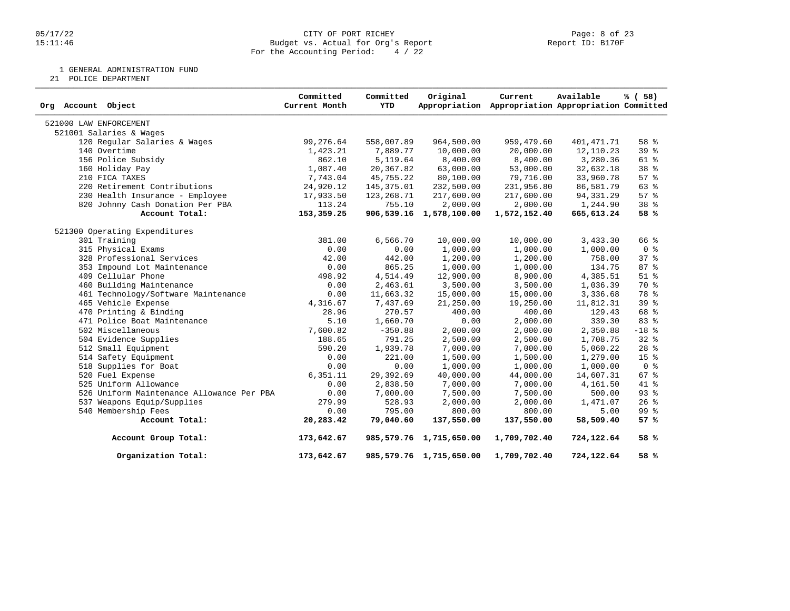#### 05/17/22 CITY OF PORT RICHEY Page: 8 of 23 15:11:46 Budget vs. Actual for Org's Report Report ID: B170F For the Accounting Period: 4 / 22

1 GENERAL ADMINISTRATION FUND

21 POLICE DEPARTMENT

| Org Account Object                        | Committed<br>Current Month | Committed<br><b>YTD</b> | Original                | Current<br>Appropriation Appropriation Appropriation Committed | Available  | % (58)          |
|-------------------------------------------|----------------------------|-------------------------|-------------------------|----------------------------------------------------------------|------------|-----------------|
| 521000 LAW ENFORCEMENT                    |                            |                         |                         |                                                                |            |                 |
| 521001 Salaries & Wages                   |                            |                         |                         |                                                                |            |                 |
| 120 Regular Salaries & Wages              | 99,276.64                  | 558,007.89              | 964,500.00              | 959,479.60                                                     | 401,471.71 | 58 <sup>8</sup> |
| 140 Overtime                              | 1,423.21                   | 7,889.77                | 10,000.00               | 20,000.00                                                      | 12,110.23  | 39 %            |
| 156 Police Subsidy                        | 862.10                     | 5,119.64                | 8,400.00                | 8,400.00                                                       | 3,280.36   | $61$ %          |
| 160 Holiday Pay                           | 1,087.40                   | 20,367.82               | 63,000.00               | 53,000.00                                                      | 32,632.18  | 38 %            |
| 210 FICA TAXES                            | 7,743.04                   | 45,755.22               | 80,100.00               | 79,716.00                                                      | 33,960.78  | 57%             |
| 220 Retirement Contributions              | 24,920.12                  | 145,375.01              | 232,500.00              | 231,956.80                                                     | 86,581.79  | 63%             |
| 230 Health Insurance - Employee           | 17,933.50                  | 123, 268.71             | 217,600.00              | 217,600.00                                                     | 94,331.29  | 57%             |
| 820 Johnny Cash Donation Per PBA          | 113.24                     | 755.10                  | 2,000.00                | 2,000.00                                                       | 1,244.90   | 38 %            |
| Account Total:                            | 153,359.25                 |                         | 906,539.16 1,578,100.00 | 1,572,152.40                                                   | 665,613.24 | 58 %            |
| 521300 Operating Expenditures             |                            |                         |                         |                                                                |            |                 |
| 301 Training                              | 381.00                     | 6,566.70                | 10,000.00               | 10,000.00                                                      | 3,433.30   | 66 %            |
| 315 Physical Exams                        | 0.00                       | 0.00                    | 1,000.00                | 1,000.00                                                       | 1,000.00   | 0 <sup>8</sup>  |
| 328 Professional Services                 | 42.00                      | 442.00                  | 1,200.00                | 1,200.00                                                       | 758.00     | 37 <sub>8</sub> |
| 353 Impound Lot Maintenance               | 0.00                       | 865.25                  | 1,000.00                | 1,000.00                                                       | 134.75     | 87 %            |
| 409 Cellular Phone                        | 498.92                     | 4,514.49                | 12,900.00               | 8,900.00                                                       | 4,385.51   | $51$ %          |
| 460 Building Maintenance                  | 0.00                       | 2,463.61                | 3,500.00                | 3,500.00                                                       | 1,036.39   | 70 %            |
| 461 Technology/Software Maintenance       | 0.00                       | 11,663.32               | 15,000.00               | 15,000.00                                                      | 3,336.68   | 78 %            |
| 465 Vehicle Expense                       | 4,316.67                   | 7,437.69                | 21,250.00               | 19,250.00                                                      | 11,812.31  | 39%             |
| 470 Printing & Binding                    | 28.96                      | 270.57                  | 400.00                  | 400.00                                                         | 129.43     | 68 %            |
| 471 Police Boat Maintenance               | 5.10                       | 1,660.70                | 0.00                    | 2,000.00                                                       | 339.30     | 83 %            |
| 502 Miscellaneous                         | 7,600.82                   | $-350.88$               | 2,000.00                | 2,000.00                                                       | 2,350.88   | $-18$ %         |
| 504 Evidence Supplies                     | 188.65                     | 791.25                  | 2,500.00                | 2,500.00                                                       | 1,708.75   | 32%             |
| 512 Small Equipment                       | 590.20                     | 1,939.78                | 7,000.00                | 7,000.00                                                       | 5,060.22   | $28$ %          |
| 514 Safety Equipment                      | 0.00                       | 221.00                  | 1,500.00                | 1,500.00                                                       | 1,279.00   | 15 <sup>8</sup> |
| 518 Supplies for Boat                     | 0.00                       | 0.00                    | 1,000.00                | 1,000.00                                                       | 1,000.00   | 0 <sup>8</sup>  |
| 520 Fuel Expense                          | 6, 351.11                  | 29,392.69               | 40,000.00               | 44,000.00                                                      | 14,607.31  | 67%             |
| 525 Uniform Allowance                     | 0.00                       | 2,838.50                | 7,000.00                | 7,000.00                                                       | 4,161.50   | 41 %            |
| 526 Uniform Maintenance Allowance Per PBA | 0.00                       | 7,000.00                | 7,500.00                | 7,500.00                                                       | 500.00     | $93$ $%$        |
| 537 Weapons Equip/Supplies                | 279.99                     | 528.93                  | 2,000.00                | 2,000.00                                                       | 1,471.07   | $26$ %          |
| 540 Membership Fees                       | 0.00                       | 795.00                  | 800.00                  | 800.00                                                         | 5.00       | 99 %            |
| Account Total:                            | 20,283.42                  | 79,040.60               | 137,550.00              | 137,550.00                                                     | 58,509.40  | 57%             |
| Account Group Total:                      | 173,642.67                 |                         | 985,579.76 1,715,650.00 | 1,709,702.40                                                   | 724,122.64 | 58 %            |
| Organization Total:                       | 173,642.67                 |                         | 985,579.76 1,715,650.00 | 1,709,702.40                                                   | 724,122.64 | 58 %            |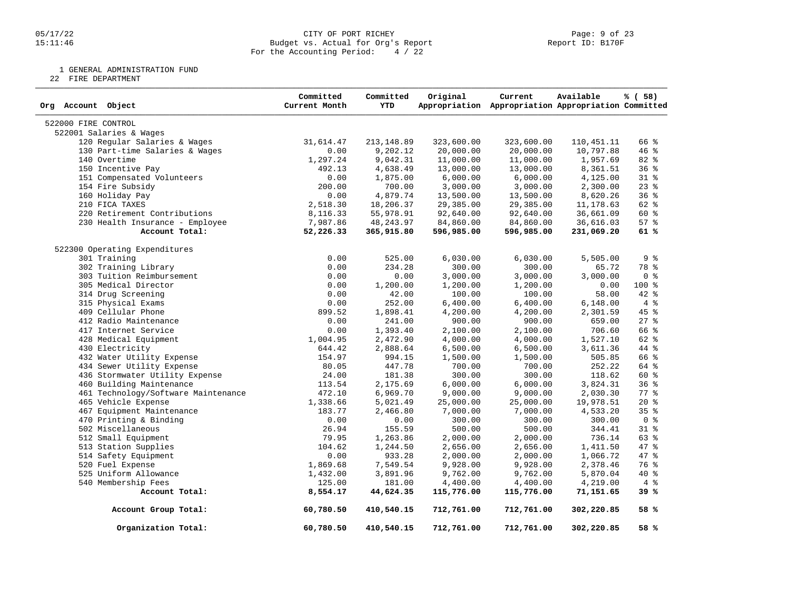#### 05/17/22 CITY OF PORT RICHEY Page: 9 of 23 15:11:46 Budget vs. Actual for Org's Report Report ID: B170F For the Accounting Period: 4 / 22

1 GENERAL ADMINISTRATION FUND

22 FIRE DEPARTMENT

| Org Account Object                  | Committed<br>Current Month | Committed<br><b>YTD</b> | Original   | Current<br>Appropriation Appropriation Appropriation Committed | Available    | % (58)         |
|-------------------------------------|----------------------------|-------------------------|------------|----------------------------------------------------------------|--------------|----------------|
| 522000 FIRE CONTROL                 |                            |                         |            |                                                                |              |                |
| 522001 Salaries & Wages             |                            |                         |            |                                                                |              |                |
| 120 Regular Salaries & Wages        | 31,614.47                  | 213, 148.89             | 323,600.00 | 323,600.00                                                     | 110, 451. 11 | 66 %           |
| 130 Part-time Salaries & Wages      | 0.00                       | 9,202.12                | 20,000.00  | 20,000.00                                                      | 10,797.88    | 46 %           |
| 140 Overtime                        | 1,297.24                   | 9,042.31                | 11,000.00  | 11,000.00                                                      | 1,957.69     | 82 %           |
| 150 Incentive Pay                   | 492.13                     | 4,638.49                | 13,000.00  | 13,000.00                                                      | 8,361.51     | 36%            |
| 151 Compensated Volunteers          | 0.00                       | 1,875.00                | 6,000.00   | 6,000.00                                                       | 4,125.00     | $31$ %         |
| 154 Fire Subsidy                    | 200.00                     | 700.00                  | 3,000.00   | 3,000.00                                                       | 2,300.00     | $23$ %         |
| 160 Holiday Pay                     | 0.00                       | 4,879.74                | 13,500.00  | 13,500.00                                                      | 8,620.26     | 36%            |
| 210 FICA TAXES                      | 2,518.30                   | 18,206.37               | 29,385.00  | 29,385.00                                                      | 11,178.63    | 62 %           |
| 220 Retirement Contributions        | 8,116.33                   | 55,978.91               | 92,640.00  | 92,640.00                                                      | 36,661.09    | 60 %           |
| 230 Health Insurance - Employee     | 7,987.86                   | 48, 243.97              | 84,860.00  | 84,860.00                                                      | 36,616.03    | 57%            |
| Account Total:                      | 52,226.33                  | 365,915.80              | 596,985.00 | 596,985.00                                                     | 231,069.20   | 61 %           |
| 522300 Operating Expenditures       |                            |                         |            |                                                                |              |                |
| 301 Training                        | 0.00                       | 525.00                  | 6,030.00   | 6,030.00                                                       | 5,505.00     | 9%             |
| 302 Training Library                | 0.00                       | 234.28                  | 300.00     | 300.00                                                         | 65.72        | 78 %           |
| 303 Tuition Reimbursement           | 0.00                       | 0.00                    | 3,000.00   | 3,000.00                                                       | 3,000.00     | 0 <sup>8</sup> |
| 305 Medical Director                | 0.00                       | 1,200.00                | 1,200.00   | 1,200.00                                                       | 0.00         | $100*$         |
| 314 Drug Screening                  | 0.00                       | 42.00                   | 100.00     | 100.00                                                         | 58.00        | 42 %           |
| 315 Physical Exams                  | 0.00                       | 252.00                  | 6,400.00   | 6,400.00                                                       | 6,148.00     | 4%             |
| 409 Cellular Phone                  | 899.52                     | 1,898.41                | 4,200.00   | 4,200.00                                                       | 2,301.59     | 45 %           |
| 412 Radio Maintenance               | 0.00                       | 241.00                  | 900.00     | 900.00                                                         | 659.00       | $27$ $%$       |
| 417 Internet Service                | 0.00                       | 1,393.40                | 2,100.00   | 2,100.00                                                       | 706.60       | 66 %           |
| 428 Medical Equipment               | 1,004.95                   | 2,472.90                | 4,000.00   | 4,000.00                                                       | 1,527.10     | 62 %           |
| 430 Electricity                     | 644.42                     | 2,888.64                | 6,500.00   | 6,500.00                                                       | 3,611.36     | 44 %           |
| 432 Water Utility Expense           | 154.97                     | 994.15                  | 1,500.00   | 1,500.00                                                       | 505.85       | 66 %           |
| 434 Sewer Utility Expense           | 80.05                      | 447.78                  |            | 700.00                                                         | 252.22       | 64 %           |
|                                     |                            | 181.38                  | 700.00     |                                                                |              | 60 %           |
| 436 Stormwater Utility Expense      | 24.00                      |                         | 300.00     | 300.00                                                         | 118.62       |                |
| 460 Building Maintenance            | 113.54                     | 2,175.69                | 6,000.00   | 6,000.00                                                       | 3,824.31     | 36%            |
| 461 Technology/Software Maintenance | 472.10                     | 6,969.70                | 9,000.00   | 9,000.00                                                       | 2,030.30     | 77.8           |
| 465 Vehicle Expense                 | 1,338.66                   | 5,021.49                | 25,000.00  | 25,000.00                                                      | 19,978.51    | $20*$          |
| 467 Equipment Maintenance           | 183.77                     | 2,466.80                | 7,000.00   | 7,000.00                                                       | 4,533.20     | 35%            |
| 470 Printing & Binding              | 0.00                       | 0.00                    | 300.00     | 300.00                                                         | 300.00       | 0 <sup>8</sup> |
| 502 Miscellaneous                   | 26.94                      | 155.59                  | 500.00     | 500.00                                                         | 344.41       | 31 %           |
| 512 Small Equipment                 | 79.95                      | 1,263.86                | 2,000.00   | 2,000.00                                                       | 736.14       | 63 %           |
| 513 Station Supplies                | 104.62                     | 1,244.50                | 2,656.00   | 2,656.00                                                       | 1,411.50     | 47 %           |
| 514 Safety Equipment                | 0.00                       | 933.28                  | 2,000.00   | 2,000.00                                                       | 1,066.72     | 47 %           |
| 520 Fuel Expense                    | 1,869.68                   | 7,549.54                | 9,928.00   | 9,928.00                                                       | 2,378.46     | 76 %           |
| 525 Uniform Allowance               | 1,432.00                   | 3,891.96                | 9,762.00   | 9,762.00                                                       | 5,870.04     | 40 %           |
| 540 Membership Fees                 | 125.00                     | 181.00                  | 4,400.00   | 4,400.00                                                       | 4,219.00     | 4%             |
| Account Total:                      | 8,554.17                   | 44,624.35               | 115,776.00 | 115,776.00                                                     | 71,151.65    | 39 %           |
| Account Group Total:                | 60,780.50                  | 410,540.15              | 712,761.00 | 712,761.00                                                     | 302,220.85   | 58 %           |
| Organization Total:                 | 60,780.50                  | 410,540.15              | 712,761.00 | 712,761.00                                                     | 302,220.85   | 58 %           |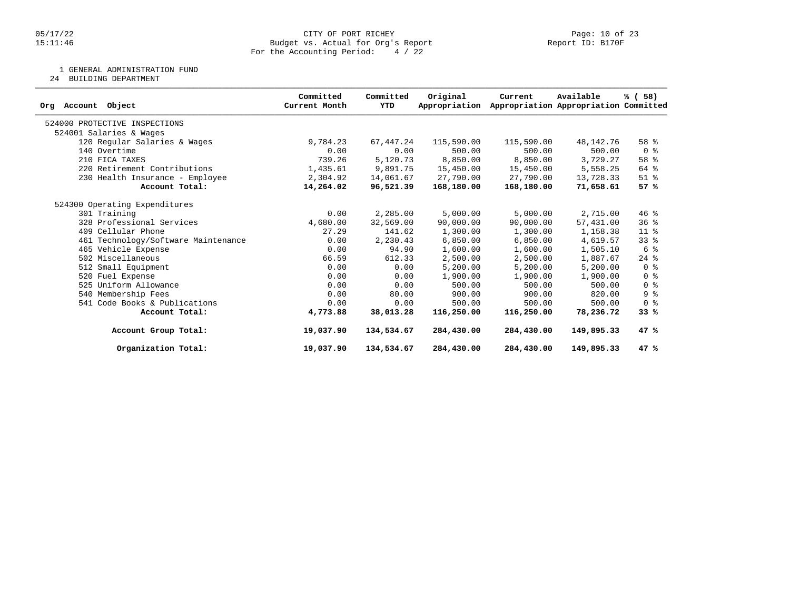### 05/17/22 CITY OF PORT RICHEY Page: 10 of 23 15:11:46 Budget vs. Actual for Org's Report Report ID: B170F For the Accounting Period: 4 / 22

1 GENERAL ADMINISTRATION FUND

24 BUILDING DEPARTMENT

| Object<br>Account<br>Org            | Committed<br>Current Month | Committed<br>YTD | Original<br>Appropriation | Current    | Available<br>Appropriation Appropriation Committed | % (58)             |
|-------------------------------------|----------------------------|------------------|---------------------------|------------|----------------------------------------------------|--------------------|
| 524000 PROTECTIVE INSPECTIONS       |                            |                  |                           |            |                                                    |                    |
| 524001 Salaries & Wages             |                            |                  |                           |            |                                                    |                    |
| 120 Regular Salaries & Wages        | 9,784.23                   | 67, 447.24       | 115,590.00                | 115,590.00 | 48,142.76                                          | 58 <sup>8</sup>    |
| 140 Overtime                        | 0.00                       | 0.00             | 500.00                    | 500.00     | 500.00                                             | 0 <sup>8</sup>     |
| 210 FICA TAXES                      | 739.26                     | 5,120.73         | 8,850.00                  | 8,850.00   | 3,729.27                                           | 58 <sup>8</sup>    |
| 220 Retirement Contributions        | 1,435.61                   | 9,891.75         | 15,450.00                 | 15,450.00  | 5,558.25                                           | 64 %               |
| 230 Health Insurance - Employee     | 2,304.92                   | 14,061.67        | 27,790.00                 | 27,790.00  | 13,728.33                                          | $51$ %             |
| Account Total:                      | 14,264.02                  | 96,521.39        | 168,180.00                | 168,180.00 | 71,658.61                                          | 57%                |
| 524300 Operating Expenditures       |                            |                  |                           |            |                                                    |                    |
| 301 Training                        | 0.00                       | 2,285.00         | 5,000.00                  | 5,000.00   | 2,715.00                                           | $46$ %             |
| 328 Professional Services           | 4,680.00                   | 32,569.00        | 90,000.00                 | 90,000.00  | 57,431.00                                          | 36%                |
| 409 Cellular Phone                  | 27.29                      | 141.62           | 1,300.00                  | 1,300.00   | 1,158.38                                           | $11*$              |
| 461 Technology/Software Maintenance | 0.00                       | 2,230.43         | 6,850.00                  | 6,850.00   | 4,619.57                                           | 338                |
| 465 Vehicle Expense                 | 0.00                       | 94.90            | 1,600.00                  | 1,600.00   | 1,505.10                                           | 6 %                |
| 502 Miscellaneous                   | 66.59                      | 612.33           | 2,500.00                  | 2,500.00   | 1,887.67                                           | $24$ $\frac{6}{6}$ |
| 512 Small Equipment                 | 0.00                       | 0.00             | 5,200.00                  | 5,200.00   | 5,200.00                                           | 0 <sup>8</sup>     |
| 520 Fuel Expense                    | 0.00                       | 0.00             | 1,900.00                  | 1,900.00   | 1,900.00                                           | 0 <sup>8</sup>     |
| 525 Uniform Allowance               | 0.00                       | 0.00             | 500.00                    | 500.00     | 500.00                                             | 0 <sup>8</sup>     |
| 540 Membership Fees                 | 0.00                       | 80.00            | 900.00                    | 900.00     | 820.00                                             | 9%                 |
| 541 Code Books & Publications       | 0.00                       | 0.00             | 500.00                    | 500.00     | 500.00                                             | 0 <sup>8</sup>     |
| Account Total:                      | 4,773.88                   | 38,013.28        | 116,250.00                | 116,250.00 | 78,236.72                                          | 33%                |
| Account Group Total:                | 19,037.90                  | 134,534.67       | 284,430.00                | 284,430.00 | 149,895.33                                         | 47 %               |
| Organization Total:                 | 19,037.90                  | 134,534.67       | 284,430.00                | 284,430.00 | 149,895.33                                         | 47%                |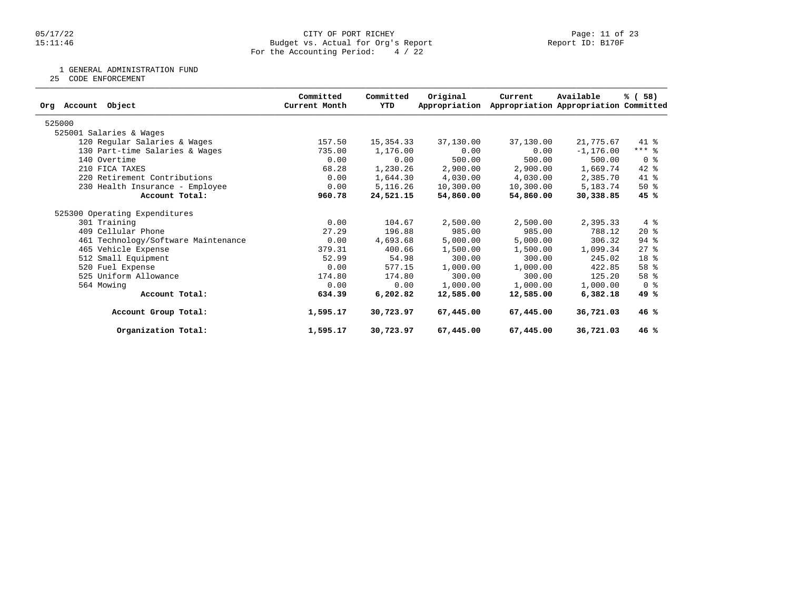### 05/17/22 CITY OF PORT RICHEY Page: 11 of 23 15:11:46 Budget vs. Actual for Org's Report Report ID: B170F For the Accounting Period: 4 / 22

1 GENERAL ADMINISTRATION FUND

25 CODE ENFORCEMENT

| Committed<br>Current Month | Committed<br>YTD | Original<br>Appropriation | Current                                                                                         | Available    | % (58)                                                                                                                                                                                                        |
|----------------------------|------------------|---------------------------|-------------------------------------------------------------------------------------------------|--------------|---------------------------------------------------------------------------------------------------------------------------------------------------------------------------------------------------------------|
|                            |                  |                           |                                                                                                 |              |                                                                                                                                                                                                               |
|                            |                  |                           |                                                                                                 |              |                                                                                                                                                                                                               |
| 157.50                     |                  | 37,130.00                 |                                                                                                 | 21,775.67    | 41 %                                                                                                                                                                                                          |
| 735.00                     |                  | 0.00                      |                                                                                                 | $-1, 176.00$ | $***$ $%$                                                                                                                                                                                                     |
| 0.00                       | 0.00             | 500.00                    | 500.00                                                                                          | 500.00       | 0 %                                                                                                                                                                                                           |
| 68.28                      |                  | 2,900.00                  |                                                                                                 | 1,669.74     | $42$ %                                                                                                                                                                                                        |
| 0.00                       |                  | 4,030.00                  |                                                                                                 | 2,385.70     | 41 %                                                                                                                                                                                                          |
| 0.00                       |                  | 10,300.00                 |                                                                                                 | 5,183.74     | $50*$                                                                                                                                                                                                         |
| 960.78                     |                  | 54,860.00                 |                                                                                                 | 30,338.85    | 45 %                                                                                                                                                                                                          |
|                            |                  |                           |                                                                                                 |              |                                                                                                                                                                                                               |
| 0.00                       | 104.67           | 2,500.00                  |                                                                                                 | 2,395.33     | 4%                                                                                                                                                                                                            |
| 27.29                      | 196.88           | 985.00                    | 985.00                                                                                          | 788.12       | $20*$                                                                                                                                                                                                         |
| 0.00                       |                  | 5,000.00                  |                                                                                                 | 306.32       | $94$ $%$                                                                                                                                                                                                      |
| 379.31                     | 400.66           | 1,500.00                  |                                                                                                 | 1,099.34     | $27$ %                                                                                                                                                                                                        |
| 52.99                      | 54.98            | 300.00                    | 300.00                                                                                          | 245.02       | 18 <sup>8</sup>                                                                                                                                                                                               |
| 0.00                       | 577.15           | 1,000.00                  | 1,000.00                                                                                        | 422.85       | 58 %                                                                                                                                                                                                          |
| 174.80                     | 174.80           | 300.00                    |                                                                                                 | 125.20       | 58 %                                                                                                                                                                                                          |
| 0.00                       | 0.00             | 1,000.00                  |                                                                                                 | 1,000.00     | 0 <sup>8</sup>                                                                                                                                                                                                |
| 634.39                     | 6,202.82         | 12,585.00                 |                                                                                                 | 6,382.18     | 49 %                                                                                                                                                                                                          |
| 1,595.17                   |                  | 67,445,00                 |                                                                                                 | 36,721.03    | 46%                                                                                                                                                                                                           |
| 1,595.17                   | 30,723.97        | 67,445.00                 |                                                                                                 | 36,721.03    | 46%                                                                                                                                                                                                           |
|                            |                  |                           | 15,354.33<br>1,176.00<br>1,230.26<br>1,644.30<br>5,116.26<br>24,521.15<br>4,693.68<br>30,723.97 |              | Appropriation Appropriation Committed<br>37,130.00<br>0.00<br>2,900.00<br>4,030.00<br>10,300.00<br>54,860.00<br>2,500.00<br>5,000.00<br>1,500.00<br>300.00<br>1,000.00<br>12,585.00<br>67,445.00<br>67,445.00 |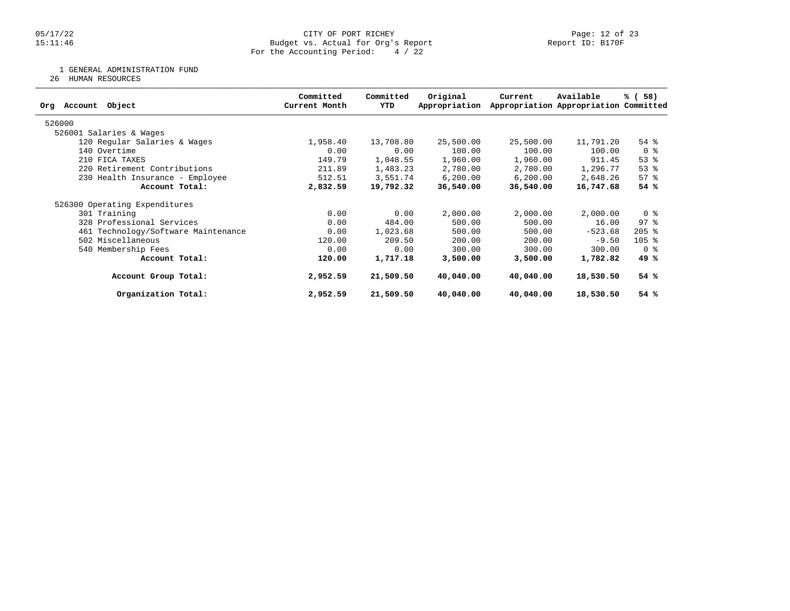### 05/17/22 CITY OF PORT RICHEY Page: 12 of 23 15:11:46 Budget vs. Actual for Org's Report Report ID: B170F For the Accounting Period: 4 / 22

1 GENERAL ADMINISTRATION FUND

26 HUMAN RESOURCES

| Object<br>Org Account               | Committed<br>Current Month | Committed<br>YTD | Original<br>Appropriation | Current   | Available<br>Appropriation Appropriation Committed | % (58)              |
|-------------------------------------|----------------------------|------------------|---------------------------|-----------|----------------------------------------------------|---------------------|
| 526000                              |                            |                  |                           |           |                                                    |                     |
| 526001 Salaries & Wages             |                            |                  |                           |           |                                                    |                     |
| 120 Regular Salaries & Wages        | 1,958.40                   | 13,708.80        | 25,500.00                 | 25,500.00 | 11,791.20                                          | $54$ $%$            |
| 140 Overtime                        | 0.00                       | 0.00             | 100.00                    | 100.00    | 100.00                                             | 0 <sup>8</sup>      |
| 210 FICA TAXES                      | 149.79                     | 1,048.55         | 1,960.00                  | 1,960.00  | 911.45                                             | 53%                 |
| 220 Retirement Contributions        | 211.89                     | 1,483.23         | 2,780.00                  | 2,780.00  | 1,296.77                                           | 53%                 |
| 230 Health Insurance - Employee     | 512.51                     | 3,551.74         | 6, 200.00                 | 6, 200.00 | 2,648.26                                           | 57%                 |
| Account Total:                      | 2,832.59                   | 19,792.32        | 36,540.00                 | 36,540.00 | 16,747.68                                          | 54%                 |
| 526300 Operating Expenditures       |                            |                  |                           |           |                                                    |                     |
| 301 Training                        | 0.00                       | 0.00             | 2,000.00                  | 2,000.00  | 2,000.00                                           | 0 <sup>8</sup>      |
| 328 Professional Services           | 0.00                       | 484.00           | 500.00                    | 500.00    | 16.00                                              | $97$ $\frac{6}{3}$  |
| 461 Technology/Software Maintenance | 0.00                       | 1,023.68         | 500.00                    | 500.00    | $-523.68$                                          | $205$ $\frac{6}{5}$ |
| 502 Miscellaneous                   | 120.00                     | 209.50           | 200.00                    | 200.00    | $-9.50$                                            | $105$ %             |
| 540 Membership Fees                 | 0.00                       | 0.00             | 300.00                    | 300.00    | 300.00                                             | 0 %                 |
| Account Total:                      | 120.00                     | 1,717.18         | 3,500.00                  | 3,500.00  | 1,782.82                                           | 49 %                |
| Account Group Total:                | 2,952.59                   | 21,509.50        | 40,040.00                 | 40,040.00 | 18,530.50                                          | 54%                 |
| Organization Total:                 | 2,952.59                   | 21,509.50        | 40,040.00                 | 40,040.00 | 18,530.50                                          | 54 %                |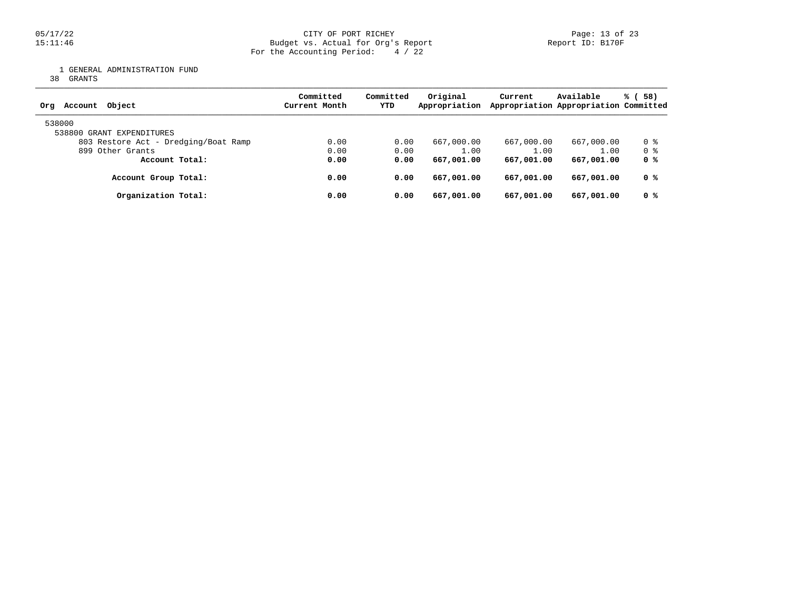1 GENERAL ADMINISTRATION FUND

38 GRANTS

| Object<br>Account<br>Org             | Committed<br>Current Month | Committed<br>YTD | Original<br>Appropriation | Current    | Available<br>Appropriation Appropriation Committed | 58)<br>% ( |
|--------------------------------------|----------------------------|------------------|---------------------------|------------|----------------------------------------------------|------------|
| 538000<br>538800 GRANT EXPENDITURES  |                            |                  |                           |            |                                                    |            |
| 803 Restore Act - Dredging/Boat Ramp | 0.00                       | 0.00             | 667,000.00                | 667,000.00 | 667,000.00                                         | 0 %        |
| 899 Other Grants                     | 0.00                       | 0.00             | 1.00                      | 1.00       | 1.00                                               | 0 %        |
| Account Total:                       | 0.00                       | 0.00             | 667,001.00                | 667,001.00 | 667,001.00                                         | 0 %        |
| Account Group Total:                 | 0.00                       | 0.00             | 667,001.00                | 667,001.00 | 667,001.00                                         | 0 %        |
| Organization Total:                  | 0.00                       | 0.00             | 667,001.00                | 667,001.00 | 667,001.00                                         | 0 %        |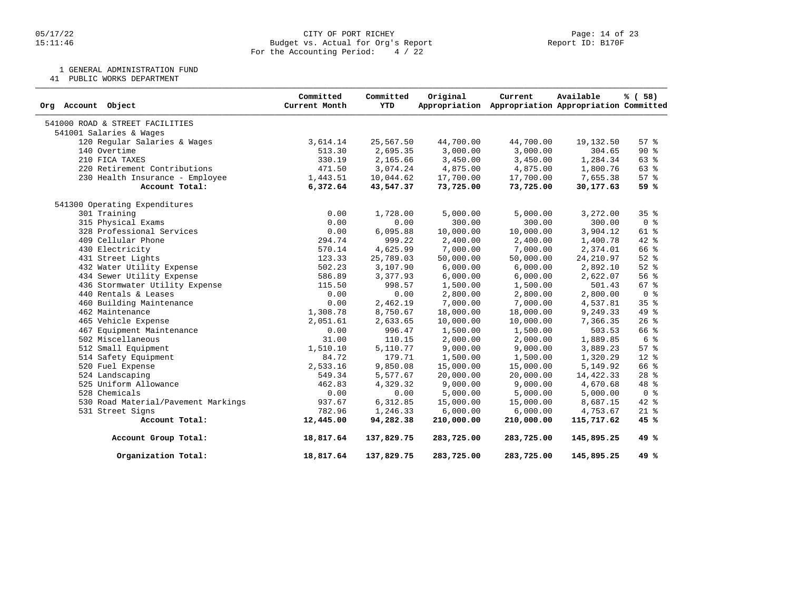### 05/17/22 Page: 14 of 23 15:11:46 Budget vs. Actual for Org's Report Report ID: B170F For the Accounting Period: 4 / 22

1 GENERAL ADMINISTRATION FUND

41 PUBLIC WORKS DEPARTMENT

| Org Account Object                  | Committed<br>Current Month | Committed<br>YTD | Original<br>Appropriation | Current    | Available<br>Appropriation Appropriation Committed | % (58)          |
|-------------------------------------|----------------------------|------------------|---------------------------|------------|----------------------------------------------------|-----------------|
| 541000 ROAD & STREET FACILITIES     |                            |                  |                           |            |                                                    |                 |
| 541001 Salaries & Wages             |                            |                  |                           |            |                                                    |                 |
| 120 Regular Salaries & Wages        | 3,614.14                   | 25,567.50        | 44,700.00                 | 44,700.00  | 19,132.50                                          | 57%             |
| 140 Overtime                        | 513.30                     | 2,695.35         | 3,000.00                  | 3,000.00   | 304.65                                             | $90*$           |
| 210 FICA TAXES                      | 330.19                     | 2,165.66         | 3,450.00                  | 3,450.00   | 1,284.34                                           | 63%             |
| 220 Retirement Contributions        | 471.50                     | 3,074.24         | 4,875.00                  | 4,875.00   | 1,800.76                                           | 63 %            |
| 230 Health Insurance - Employee     | 1,443.51                   | 10,044.62        | 17,700.00                 | 17,700.00  | 7,655.38                                           | 57%             |
| Account Total:                      | 6,372.64                   | 43,547.37        | 73,725.00                 | 73,725.00  | 30,177.63                                          | 59%             |
| 541300 Operating Expenditures       |                            |                  |                           |            |                                                    |                 |
| 301 Training                        | 0.00                       | 1,728.00         | 5,000.00                  | 5,000.00   | 3,272.00                                           | 35%             |
| 315 Physical Exams                  | 0.00                       | 0.00             | 300.00                    | 300.00     | 300.00                                             | 0 <sup>8</sup>  |
| 328 Professional Services           | 0.00                       | 6,095.88         | 10,000.00                 | 10,000.00  | 3,904.12                                           | $61$ %          |
| 409 Cellular Phone                  | 294.74                     | 999.22           | 2,400.00                  | 2,400.00   | 1,400.78                                           | 42 %            |
| 430 Electricity                     | 570.14                     | 4,625.99         | 7,000.00                  | 7,000.00   | 2,374.01                                           | 66 %            |
| 431 Street Lights                   | 123.33                     | 25,789.03        | 50,000.00                 | 50,000.00  | 24, 210.97                                         | $52$ $%$        |
| 432 Water Utility Expense           | 502.23                     | 3,107.90         | 6,000.00                  | 6,000.00   | 2,892.10                                           | $52$ $%$        |
| 434 Sewer Utility Expense           | 586.89                     | 3,377.93         | 6,000.00                  | 6,000.00   | 2,622.07                                           | 56 %            |
| 436 Stormwater Utility Expense      | 115.50                     | 998.57           | 1,500.00                  | 1,500.00   | 501.43                                             | 67 <sup>°</sup> |
| 440 Rentals & Leases                | 0.00                       | 0.00             | 2,800.00                  | 2,800.00   | 2,800.00                                           | 0 <sup>8</sup>  |
| 460 Building Maintenance            | 0.00                       | 2,462.19         | 7,000.00                  | 7,000.00   | 4,537.81                                           | 35 <sup>8</sup> |
| 462 Maintenance                     | 1,308.78                   | 8,750.67         | 18,000.00                 | 18,000.00  | 9,249.33                                           | 49 %            |
| 465 Vehicle Expense                 | 2,051.61                   | 2,633.65         | 10,000.00                 | 10,000.00  | 7,366.35                                           | 26%             |
| 467 Equipment Maintenance           | 0.00                       | 996.47           | 1,500.00                  | 1,500.00   | 503.53                                             | 66 %            |
| 502 Miscellaneous                   | 31.00                      | 110.15           | 2,000.00                  | 2,000.00   | 1,889.85                                           | 6 <sup>°</sup>  |
| 512 Small Equipment                 | 1,510.10                   | 5,110.77         | 9,000.00                  | 9,000.00   | 3,889.23                                           | 57%             |
| 514 Safety Equipment                | 84.72                      | 179.71           | 1,500.00                  | 1,500.00   | 1,320.29                                           | $12*$           |
| 520 Fuel Expense                    | 2,533.16                   | 9,850.08         | 15,000.00                 | 15,000.00  | 5,149.92                                           | 66 %            |
| 524 Landscaping                     | 549.34                     | 5,577.67         | 20,000.00                 | 20,000.00  | 14,422.33                                          | $28$ %          |
| 525 Uniform Allowance               | 462.83                     | 4,329.32         | 9,000.00                  | 9,000.00   | 4,670.68                                           | 48 %            |
| 528 Chemicals                       | 0.00                       | 0.00             | 5,000.00                  | 5,000.00   | 5,000.00                                           | 0 <sup>8</sup>  |
| 530 Road Material/Pavement Markings | 937.67                     | 6,312.85         | 15,000.00                 | 15,000.00  | 8,687.15                                           | $42*$           |
| 531 Street Signs                    | 782.96                     | 1,246.33         | 6,000.00                  | 6,000.00   | 4,753.67                                           | $21$ %          |
| Account Total:                      | 12,445.00                  | 94,282.38        | 210,000.00                | 210,000.00 | 115,717.62                                         | 45 %            |
| Account Group Total:                | 18,817.64                  | 137,829.75       | 283,725.00                | 283,725.00 | 145,895.25                                         | 49 %            |
| Organization Total:                 | 18,817.64                  | 137,829.75       | 283,725.00                | 283,725.00 | 145,895.25                                         | 49%             |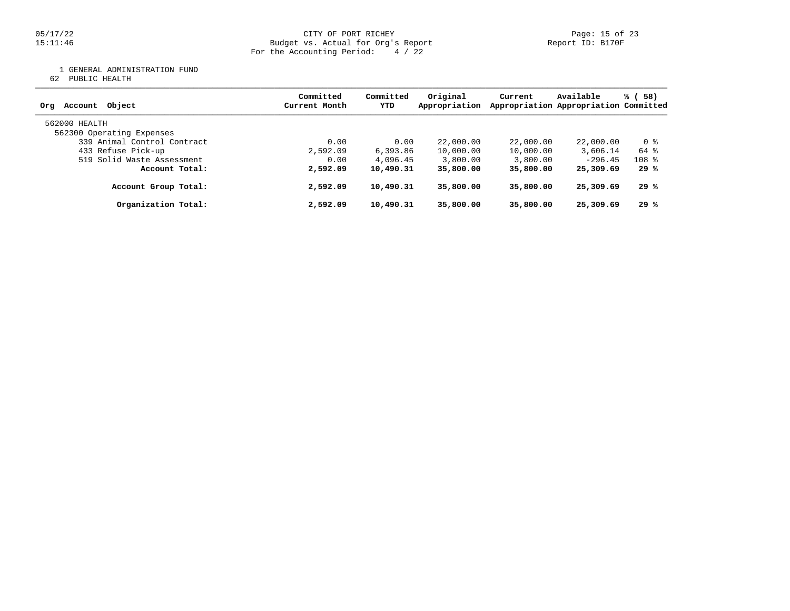### 05/17/22 Page: 15 of 23 15:11:46 Budget vs. Actual for Org's Report Report ID: B170F For the Accounting Period: 4 / 22

1 GENERAL ADMINISTRATION FUND

62 PUBLIC HEALTH

| Object<br>Account<br>Org                   | Committed<br>Current Month | Committed<br>YTD | Original<br>Appropriation | Current   | Available<br>Appropriation Appropriation Committed | % (<br>58) |
|--------------------------------------------|----------------------------|------------------|---------------------------|-----------|----------------------------------------------------|------------|
| 562000 HEALTH<br>562300 Operating Expenses |                            |                  |                           |           |                                                    |            |
| 339 Animal Control Contract                | 0.00                       | 0.00             | 22,000.00                 | 22,000.00 | 22,000.00                                          | 0 %        |
| 433 Refuse Pick-up                         | 2,592.09                   | 6,393.86         | 10,000.00                 | 10,000.00 | 3,606.14                                           | 64 %       |
| 519 Solid Waste Assessment                 | 0.00                       | 4,096.45         | 3,800.00                  | 3,800.00  | $-296.45$                                          | $108$ %    |
| Account Total:                             | 2,592.09                   | 10,490.31        | 35,800.00                 | 35,800.00 | 25,309.69                                          | 29 %       |
| Account Group Total:                       | 2,592.09                   | 10,490.31        | 35,800.00                 | 35,800.00 | 25,309.69                                          | 29 %       |
| Organization Total:                        | 2,592.09                   | 10,490.31        | 35,800.00                 | 35,800.00 | 25,309.69                                          | 29%        |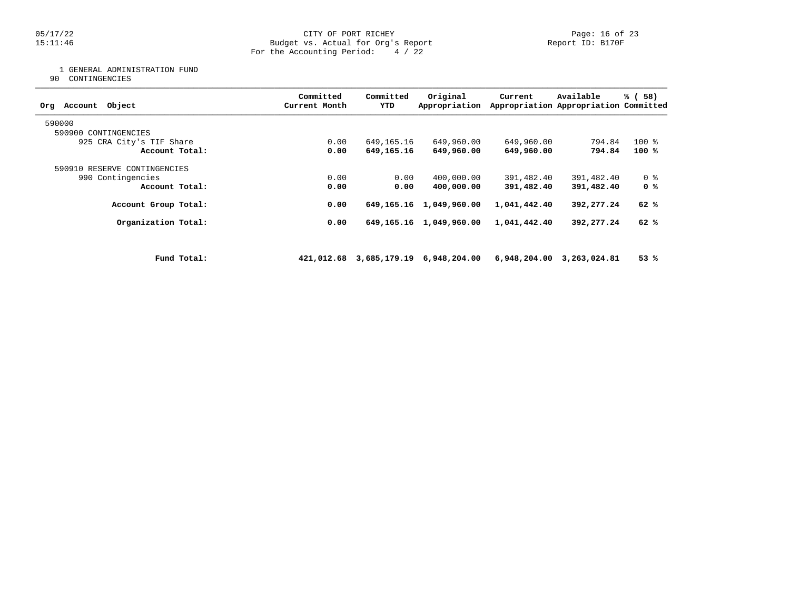### 05/17/22 Page: 16 of 23 15:11:46 Budget vs. Actual for Org's Report Report ID: B170F For the Accounting Period: 4 / 22

1 GENERAL ADMINISTRATION FUND

90 CONTINGENCIES

| Object<br>Account<br>Org     |             | Committed<br>Current Month | Committed<br>YTD | Original<br>Appropriation            | Current      | Available<br>Appropriation Appropriation Committed | % (58)         |
|------------------------------|-------------|----------------------------|------------------|--------------------------------------|--------------|----------------------------------------------------|----------------|
| 590000                       |             |                            |                  |                                      |              |                                                    |                |
| 590900 CONTINGENCIES         |             |                            |                  |                                      |              |                                                    |                |
| 925 CRA City's TIF Share     |             | 0.00                       | 649,165.16       | 649,960.00                           | 649,960.00   | 794.84                                             | $100*$         |
| Account Total:               |             | 0.00                       | 649,165.16       | 649,960.00                           | 649,960.00   | 794.84                                             | 100 %          |
| 590910 RESERVE CONTINGENCIES |             |                            |                  |                                      |              |                                                    |                |
| 990 Contingencies            |             | 0.00                       | 0.00             | 400,000.00                           | 391,482.40   | 391,482.40                                         | 0 <sub>8</sub> |
| Account Total:               |             | 0.00                       | 0.00             | 400,000.00                           | 391,482.40   | 391,482.40                                         | 0 %            |
| Account Group Total:         |             | 0.00                       | 649,165.16       | 1,049,960.00                         | 1,041,442.40 | 392,277.24                                         | 62%            |
| Organization Total:          |             | 0.00                       | 649,165.16       | 1,049,960.00                         | 1,041,442.40 | 392,277.24                                         | 62 %           |
|                              |             |                            |                  |                                      |              |                                                    |                |
|                              | Fund Total: |                            |                  | 421,012.68 3,685,179.19 6,948,204.00 |              | 6,948,204.00 3,263,024.81                          | 53%            |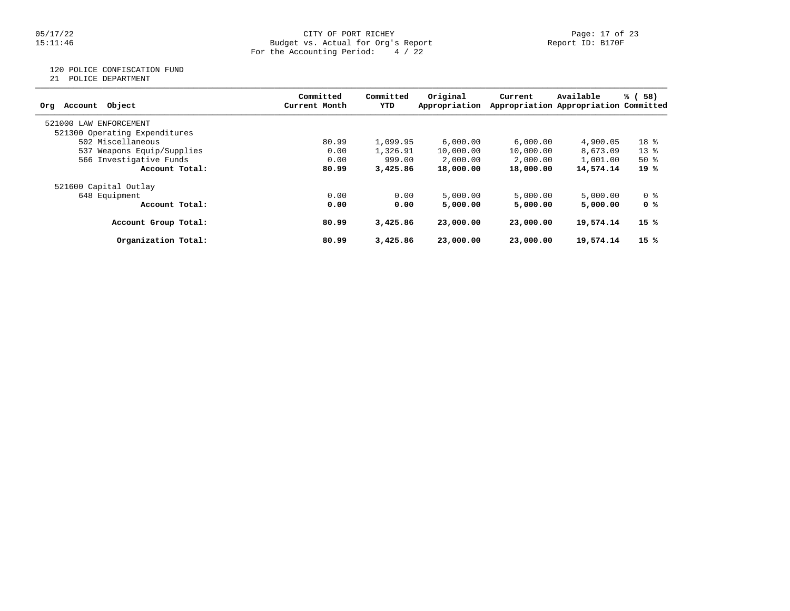### 05/17/22 CITY OF PORT RICHEY Page: 17 of 23 15:11:46 Budget vs. Actual for Org's Report Report ID: B170F For the Accounting Period: 4 / 22

### 120 POLICE CONFISCATION FUND

21 POLICE DEPARTMENT

|                               | Committed     | Committed | Original      | Current   | Available                             | % (58) |
|-------------------------------|---------------|-----------|---------------|-----------|---------------------------------------|--------|
| Object<br>Account<br>Org      | Current Month | YTD       | Appropriation |           | Appropriation Appropriation Committed |        |
| 521000<br>LAW ENFORCEMENT     |               |           |               |           |                                       |        |
| 521300 Operating Expenditures |               |           |               |           |                                       |        |
| 502 Miscellaneous             | 80.99         | 1,099.95  | 6.000.00      | 6,000.00  | 4,900.05                              | $18*$  |
| 537 Weapons Equip/Supplies    | 0.00          | 1,326.91  | 10,000.00     | 10,000.00 | 8,673.09                              | $13*$  |
| 566 Investigative Funds       | 0.00          | 999.00    | 2,000.00      | 2,000.00  | 1,001.00                              | $50*$  |
| Account Total:                | 80.99         | 3,425.86  | 18,000.00     | 18,000.00 | 14,574.14                             | 19 %   |
| 521600 Capital Outlay         |               |           |               |           |                                       |        |
| 648 Equipment                 | 0.00          | 0.00      | 5,000.00      | 5,000.00  | 5,000.00                              | 0 %    |
| Account Total:                | 0.00          | 0.00      | 5,000.00      | 5,000,00  | 5,000,00                              | 0 %    |
| Account Group Total:          | 80.99         | 3,425.86  | 23,000,00     | 23,000,00 | 19,574.14                             | 15 %   |
| Organization Total:           | 80.99         | 3,425.86  | 23,000,00     | 23,000,00 | 19,574.14                             | 15%    |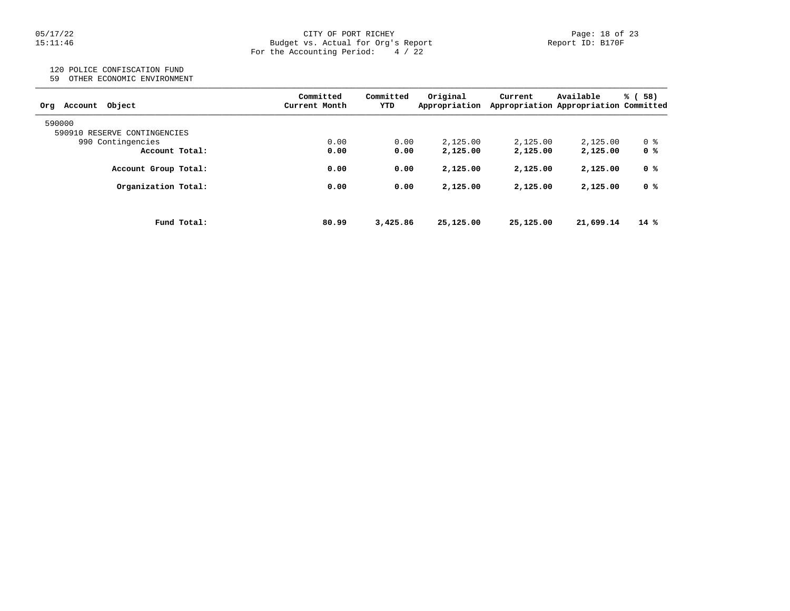### 05/17/22 CITY OF PORT RICHEY Page: 18 of 23 15:11:46 Budget vs. Actual for Org's Report Report ID: B170F For the Accounting Period: 4 / 22

## 120 POLICE CONFISCATION FUND

59 OTHER ECONOMIC ENVIRONMENT

| Object<br>Account<br>Org     | Committed<br>Current Month | Committed<br>YTD | Original<br>Appropriation | Current   | Available<br>Appropriation Appropriation Committed | 58)<br>% ( |
|------------------------------|----------------------------|------------------|---------------------------|-----------|----------------------------------------------------|------------|
| 590000                       |                            |                  |                           |           |                                                    |            |
| 590910 RESERVE CONTINGENCIES |                            |                  |                           |           |                                                    |            |
| 990 Contingencies            | 0.00                       | 0.00             | 2.125.00                  | 2,125.00  | 2,125.00                                           | 0 %        |
| Account Total:               | 0.00                       | 0.00             | 2,125.00                  | 2,125.00  | 2,125.00                                           | 0 %        |
| Account Group Total:         | 0.00                       | 0.00             | 2,125.00                  | 2,125.00  | 2,125.00                                           | 0 %        |
| Organization Total:          | 0.00                       | 0.00             | 2,125.00                  | 2,125.00  | 2,125.00                                           | 0 %        |
| Fund Total:                  | 80.99                      | 3,425.86         | 25,125.00                 | 25,125.00 | 21,699.14                                          | $14*$      |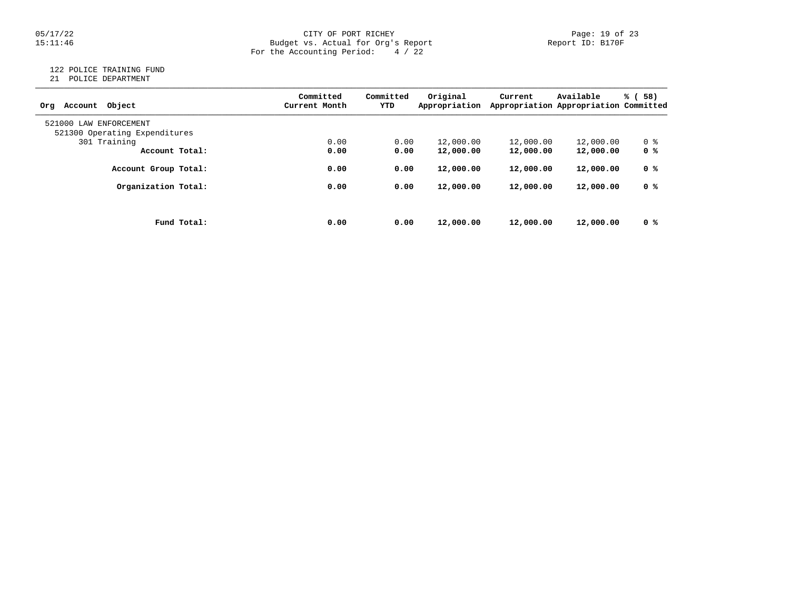### 05/17/22 CITY OF PORT RICHEY PORT REPORT RESERVE PORT RICHEY PORT RICHEY PAGE: 19 of 23<br>15:11:46 Budget vs. Actual for Org's Report Propert Report ID: B170F Budget vs. Actual for Org's Report For the Accounting Period: 4 / 22

### 122 POLICE TRAINING FUND

21 POLICE DEPARTMENT

| Object<br>Account<br>Orq      | Committed<br>Current Month | Committed<br>YTD | Original<br>Appropriation | Current   | Available<br>Appropriation Appropriation Committed | % (<br>58) |
|-------------------------------|----------------------------|------------------|---------------------------|-----------|----------------------------------------------------|------------|
| 521000<br>LAW ENFORCEMENT     |                            |                  |                           |           |                                                    |            |
| 521300 Operating Expenditures |                            |                  |                           |           |                                                    |            |
| 301 Training                  | 0.00                       | 0.00             | 12,000.00                 | 12,000.00 | 12,000.00                                          | 0 %        |
| Account Total:                | 0.00                       | 0.00             | 12,000.00                 | 12,000.00 | 12,000.00                                          | 0 %        |
| Account Group Total:          | 0.00                       | 0.00             | 12,000.00                 | 12,000.00 | 12,000.00                                          | 0 %        |
| Organization Total:           | 0.00                       | 0.00             | 12,000.00                 | 12,000.00 | 12,000.00                                          | 0 %        |
|                               |                            |                  |                           |           |                                                    |            |
| Fund Total:                   | 0.00                       | 0.00             | 12,000.00                 | 12,000.00 | 12,000.00                                          | 0 %        |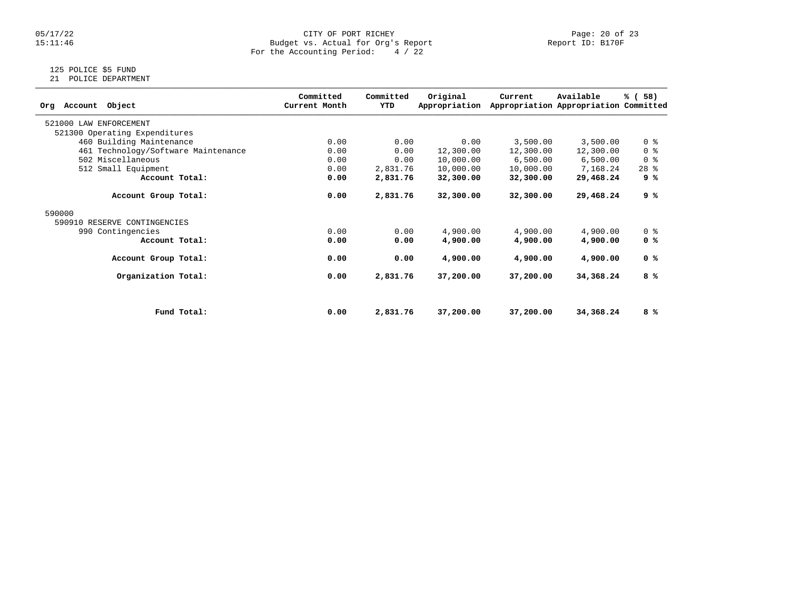### 05/17/22 CITY OF PORT RICHEY PORT REPORT RESERVITY OF PORT RICHEY PAGE: 20 of 23<br>15:11:46 Budget vs. Actual for Org's Report Page: 20 of 23 Budget vs. Actual for Org's Report For the Accounting Period: 4 / 22

## 125 POLICE \$5 FUND

21 POLICE DEPARTMENT

| Object<br>Account<br>Ora            |             | Committed<br>Current Month | Committed<br>YTD | Original<br>Appropriation | Current   | Available<br>Appropriation Appropriation Committed | % (58)         |
|-------------------------------------|-------------|----------------------------|------------------|---------------------------|-----------|----------------------------------------------------|----------------|
| 521000 LAW ENFORCEMENT              |             |                            |                  |                           |           |                                                    |                |
| 521300 Operating Expenditures       |             |                            |                  |                           |           |                                                    |                |
| 460 Building Maintenance            |             | 0.00                       | 0.00             | 0.00                      | 3,500.00  | 3,500.00                                           | 0 <sup>8</sup> |
| 461 Technology/Software Maintenance |             | 0.00                       | 0.00             | 12,300.00                 | 12,300.00 | 12,300.00                                          | 0 <sup>8</sup> |
| 502 Miscellaneous                   |             | 0.00                       | 0.00             | 10,000.00                 | 6,500.00  | 6,500.00                                           | 0 <sup>8</sup> |
| 512 Small Equipment                 |             | 0.00                       | 2,831.76         | 10,000.00                 | 10,000.00 | 7,168.24                                           | $28$ %         |
| Account Total:                      |             | 0.00                       | 2,831.76         | 32,300.00                 | 32,300.00 | 29,468.24                                          | 9 %            |
| Account Group Total:                |             | 0.00                       | 2,831.76         | 32,300.00                 | 32,300.00 | 29,468.24                                          | 9 %            |
| 590000                              |             |                            |                  |                           |           |                                                    |                |
| 590910 RESERVE CONTINGENCIES        |             |                            |                  |                           |           |                                                    |                |
| 990 Contingencies                   |             | 0.00                       | 0.00             | 4,900.00                  | 4,900.00  | 4,900.00                                           | 0 <sup>8</sup> |
| Account Total:                      |             | 0.00                       | 0.00             | 4,900.00                  | 4,900.00  | 4,900.00                                           | 0 %            |
| Account Group Total:                |             | 0.00                       | 0.00             | 4,900.00                  | 4,900.00  | 4,900.00                                           | 0 <sup>8</sup> |
| Organization Total:                 |             | 0.00                       | 2,831.76         | 37,200.00                 | 37,200.00 | 34,368.24                                          | 8 %            |
|                                     |             |                            |                  |                           |           |                                                    |                |
|                                     | Fund Total: | 0.00                       | 2,831.76         | 37,200.00                 | 37,200.00 | 34,368.24                                          | 8 %            |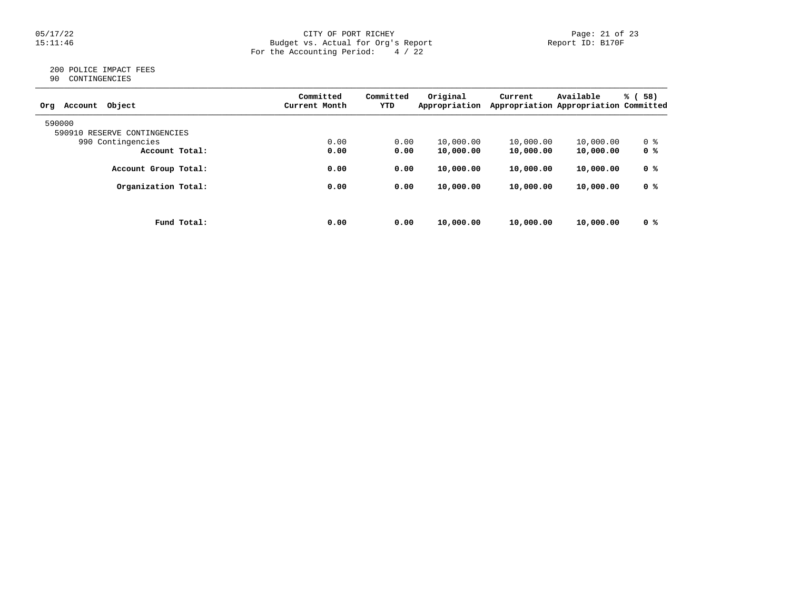### 05/17/22 Page: 21 of 23 15:11:46 Budget vs. Actual for Org's Report Report ID: B170F For the Accounting Period: 4 / 22

### 200 POLICE IMPACT FEES 90 CONTINGENCIES

| Object<br>Account<br>Org     | Committed<br>Current Month | Committed<br>YTD | Original<br>Appropriation | Current   | Available<br>Appropriation Appropriation Committed | % (58) |
|------------------------------|----------------------------|------------------|---------------------------|-----------|----------------------------------------------------|--------|
| 590000                       |                            |                  |                           |           |                                                    |        |
| 590910 RESERVE CONTINGENCIES |                            |                  |                           |           |                                                    |        |
| 990 Contingencies            | 0.00                       | 0.00             | 10,000.00                 | 10,000.00 | 10,000.00                                          | 0 %    |
| Account Total:               | 0.00                       | 0.00             | 10,000.00                 | 10,000.00 | 10,000.00                                          | 0 %    |
| Account Group Total:         | 0.00                       | 0.00             | 10,000.00                 | 10,000.00 | 10,000.00                                          | 0 %    |
| Organization Total:          | 0.00                       | 0.00             | 10,000.00                 | 10,000.00 | 10,000.00                                          | 0 %    |
|                              |                            |                  |                           |           |                                                    |        |
| Fund Total:                  | 0.00                       | 0.00             | 10,000.00                 | 10,000.00 | 10,000.00                                          | 0 %    |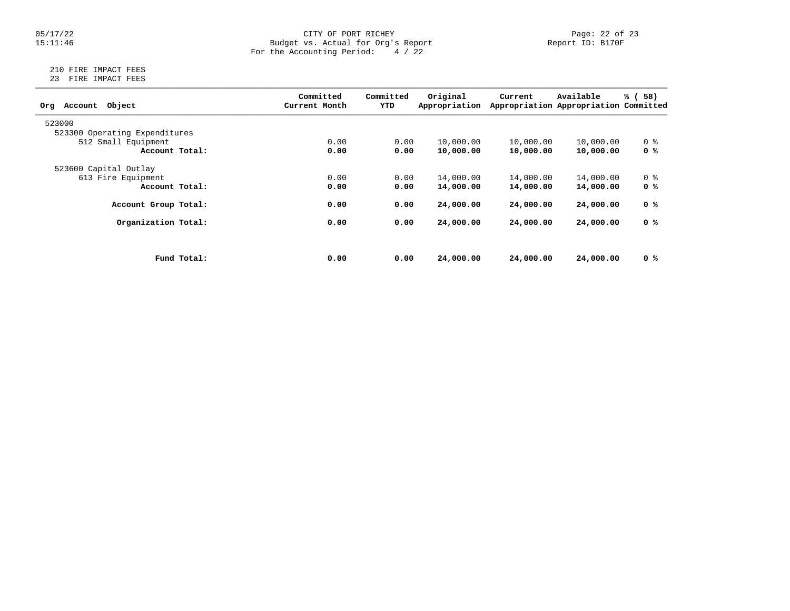### 05/17/22 Page: 22 of 23 15:11:46 Budget vs. Actual for Org's Report Report ID: B170F For the Accounting Period: 4 / 22

### 210 FIRE IMPACT FEES 23 FIRE IMPACT FEES

| Object<br>Account<br>Org      |             | Committed<br>Current Month | Committed<br>YTD | Original<br>Appropriation | Current   | Available<br>Appropriation Appropriation Committed | % (<br>58)     |
|-------------------------------|-------------|----------------------------|------------------|---------------------------|-----------|----------------------------------------------------|----------------|
| 523000                        |             |                            |                  |                           |           |                                                    |                |
| 523300 Operating Expenditures |             |                            |                  |                           |           |                                                    |                |
| 512 Small Equipment           |             | 0.00                       | 0.00             | 10,000.00                 | 10,000.00 | 10,000.00                                          | 0 <sub>8</sub> |
| Account Total:                |             | 0.00                       | 0.00             | 10,000.00                 | 10,000.00 | 10,000.00                                          | 0 %            |
| 523600 Capital Outlay         |             |                            |                  |                           |           |                                                    |                |
| 613 Fire Equipment            |             | 0.00                       | 0.00             | 14,000.00                 | 14,000.00 | 14,000.00                                          | 0 <sub>8</sub> |
| Account Total:                |             | 0.00                       | 0.00             | 14,000.00                 | 14,000.00 | 14,000.00                                          | 0 <sup>8</sup> |
| Account Group Total:          |             | 0.00                       | 0.00             | 24,000.00                 | 24,000,00 | 24,000.00                                          | 0 %            |
| Organization Total:           |             | 0.00                       | 0.00             | 24,000.00                 | 24,000.00 | 24,000.00                                          | 0 %            |
|                               |             |                            |                  |                           |           |                                                    |                |
|                               | Fund Total: | 0.00                       | 0.00             | 24,000.00                 | 24,000,00 | 24,000.00                                          | 0 %            |
|                               |             |                            |                  |                           |           |                                                    |                |